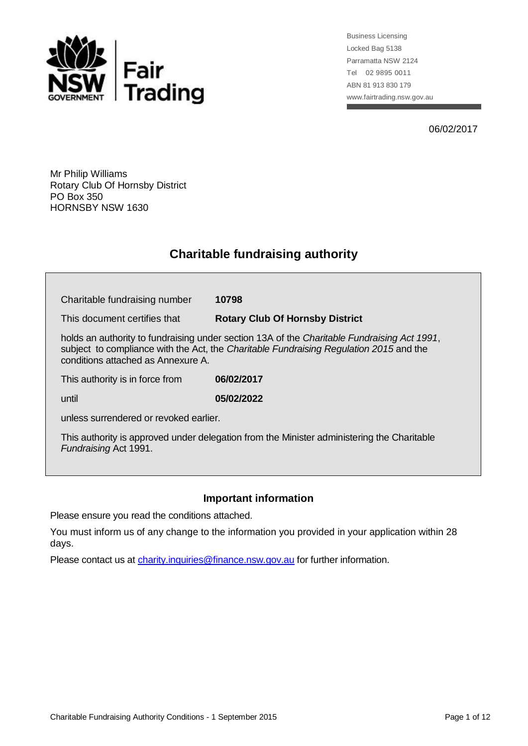

Business Licensing Locked Bag 5138 Parramatta NSW 2124 Tel 02 9895 0011 ABN 81 913 830 179 www.fairtrading.nsw.gov.au

06/02/2017

Mr Philip Williams Rotary Club Of Hornsby District PO Box 350 HORNSBY NSW 1630

## **Charitable fundraising authority**

| Charitable fundraising number                                                                                                                                                                                               | 10798                                  |
|-----------------------------------------------------------------------------------------------------------------------------------------------------------------------------------------------------------------------------|----------------------------------------|
| This document certifies that                                                                                                                                                                                                | <b>Rotary Club Of Hornsby District</b> |
| holds an authority to fundraising under section 13A of the Charitable Fundraising Act 1991,<br>subject to compliance with the Act, the Charitable Fundraising Regulation 2015 and the<br>conditions attached as Annexure A. |                                        |
| This authority is in force from                                                                                                                                                                                             | 06/02/2017                             |
| until                                                                                                                                                                                                                       | 05/02/2022                             |
| unless surrendered or revoked earlier.                                                                                                                                                                                      |                                        |
| This authority is approved under delegation from the Minister administering the Charitable<br>Fundraising Act 1991.                                                                                                         |                                        |

## **Important information**

Please ensure you read the conditions attached.

You must inform us of any change to the information you provided in your application within 28 days.

Please contact us at [charity.inquiries@finance.nsw.gov.au](mailto:charity.inquiries@olgr.nsw.gov.au) for further information.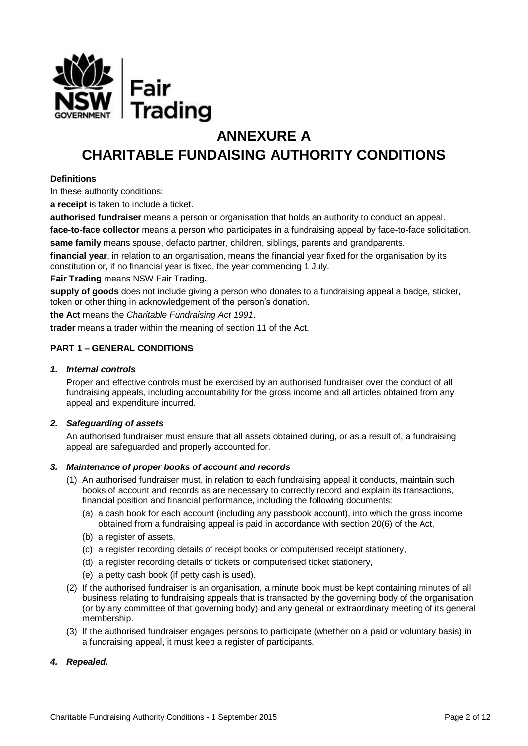

# **ANNEXURE A CHARITABLE FUNDAISING AUTHORITY CONDITIONS**

## **Definitions**

In these authority conditions:

**a receipt** is taken to include a ticket.

**authorised fundraiser** means a person or organisation that holds an authority to conduct an appeal.

**face-to-face collector** means a person who participates in a fundraising appeal by face-to-face solicitation. **same family** means spouse, defacto partner, children, siblings, parents and grandparents.

**financial year**, in relation to an organisation, means the financial year fixed for the organisation by its constitution or, if no financial year is fixed, the year commencing 1 July.

**Fair Trading** means NSW Fair Trading.

**supply of goods** does not include giving a person who donates to a fundraising appeal a badge, sticker, token or other thing in acknowledgement of the person's donation.

**the Act** means the *Charitable Fundraising Act 1991*.

**trader** means a trader within the meaning of section 11 of the Act.

## **PART 1 – GENERAL CONDITIONS**

#### *1. Internal controls*

Proper and effective controls must be exercised by an authorised fundraiser over the conduct of all fundraising appeals, including accountability for the gross income and all articles obtained from any appeal and expenditure incurred.

## *2. Safeguarding of assets*

An authorised fundraiser must ensure that all assets obtained during, or as a result of, a fundraising appeal are safeguarded and properly accounted for.

#### *3. Maintenance of proper books of account and records*

- (1) An authorised fundraiser must, in relation to each fundraising appeal it conducts, maintain such books of account and records as are necessary to correctly record and explain its transactions, financial position and financial performance, including the following documents:
	- (a) a cash book for each account (including any passbook account), into which the gross income obtained from a fundraising appeal is paid in accordance with section 20(6) of the Act,
	- (b) a register of assets,
	- (c) a register recording details of receipt books or computerised receipt stationery,
	- (d) a register recording details of tickets or computerised ticket stationery,
	- (e) a petty cash book (if petty cash is used).
- (2) If the authorised fundraiser is an organisation, a minute book must be kept containing minutes of all business relating to fundraising appeals that is transacted by the governing body of the organisation (or by any committee of that governing body) and any general or extraordinary meeting of its general membership.
- (3) If the authorised fundraiser engages persons to participate (whether on a paid or voluntary basis) in a fundraising appeal, it must keep a register of participants.

## *4. Repealed.*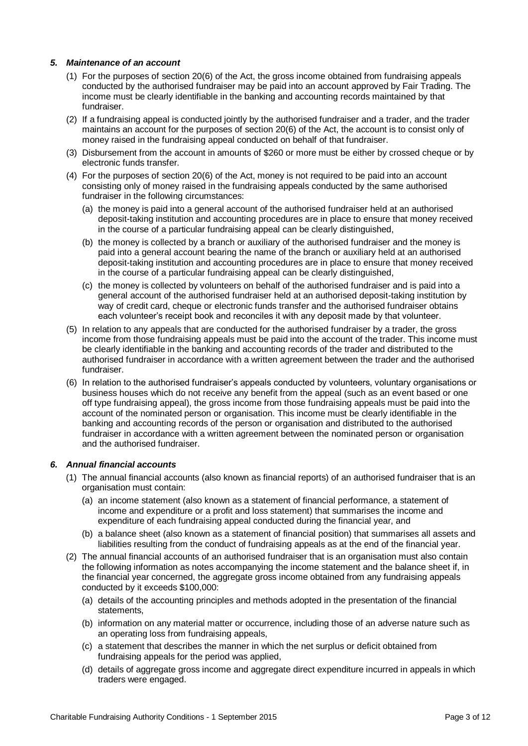## *5. Maintenance of an account*

- (1) For the purposes of section 20(6) of the Act, the gross income obtained from fundraising appeals conducted by the authorised fundraiser may be paid into an account approved by Fair Trading. The income must be clearly identifiable in the banking and accounting records maintained by that fundraiser.
- (2) If a fundraising appeal is conducted jointly by the authorised fundraiser and a trader, and the trader maintains an account for the purposes of section 20(6) of the Act, the account is to consist only of money raised in the fundraising appeal conducted on behalf of that fundraiser.
- (3) Disbursement from the account in amounts of \$260 or more must be either by crossed cheque or by electronic funds transfer.
- (4) For the purposes of section 20(6) of the Act, money is not required to be paid into an account consisting only of money raised in the fundraising appeals conducted by the same authorised fundraiser in the following circumstances:
	- (a) the money is paid into a general account of the authorised fundraiser held at an authorised deposit-taking institution and accounting procedures are in place to ensure that money received in the course of a particular fundraising appeal can be clearly distinguished,
	- (b) the money is collected by a branch or auxiliary of the authorised fundraiser and the money is paid into a general account bearing the name of the branch or auxiliary held at an authorised deposit-taking institution and accounting procedures are in place to ensure that money received in the course of a particular fundraising appeal can be clearly distinguished,
	- (c) the money is collected by volunteers on behalf of the authorised fundraiser and is paid into a general account of the authorised fundraiser held at an authorised deposit-taking institution by way of credit card, cheque or electronic funds transfer and the authorised fundraiser obtains each volunteer's receipt book and reconciles it with any deposit made by that volunteer.
- (5) In relation to any appeals that are conducted for the authorised fundraiser by a trader, the gross income from those fundraising appeals must be paid into the account of the trader. This income must be clearly identifiable in the banking and accounting records of the trader and distributed to the authorised fundraiser in accordance with a written agreement between the trader and the authorised fundraiser.
- (6) In relation to the authorised fundraiser's appeals conducted by volunteers, voluntary organisations or business houses which do not receive any benefit from the appeal (such as an event based or one off type fundraising appeal), the gross income from those fundraising appeals must be paid into the account of the nominated person or organisation. This income must be clearly identifiable in the banking and accounting records of the person or organisation and distributed to the authorised fundraiser in accordance with a written agreement between the nominated person or organisation and the authorised fundraiser.

## *6. Annual financial accounts*

- (1) The annual financial accounts (also known as financial reports) of an authorised fundraiser that is an organisation must contain:
	- (a) an income statement (also known as a statement of financial performance, a statement of income and expenditure or a profit and loss statement) that summarises the income and expenditure of each fundraising appeal conducted during the financial year, and
	- (b) a balance sheet (also known as a statement of financial position) that summarises all assets and liabilities resulting from the conduct of fundraising appeals as at the end of the financial year.
- (2) The annual financial accounts of an authorised fundraiser that is an organisation must also contain the following information as notes accompanying the income statement and the balance sheet if, in the financial year concerned, the aggregate gross income obtained from any fundraising appeals conducted by it exceeds \$100,000:
	- (a) details of the accounting principles and methods adopted in the presentation of the financial statements,
	- (b) information on any material matter or occurrence, including those of an adverse nature such as an operating loss from fundraising appeals,
	- (c) a statement that describes the manner in which the net surplus or deficit obtained from fundraising appeals for the period was applied,
	- (d) details of aggregate gross income and aggregate direct expenditure incurred in appeals in which traders were engaged.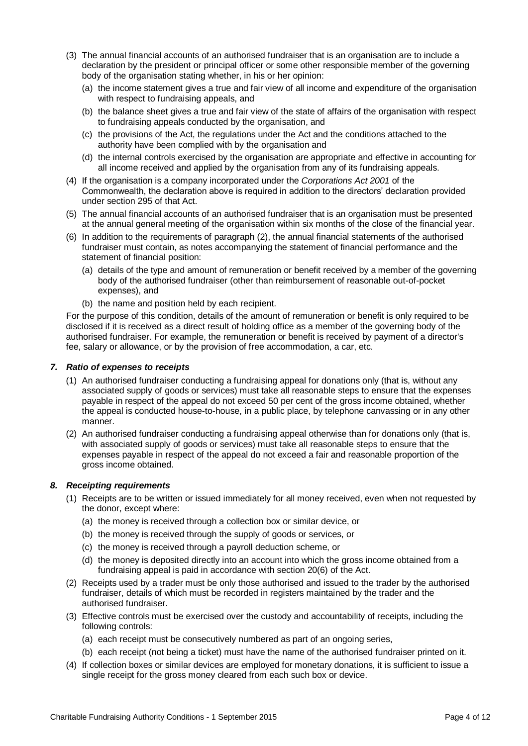- (3) The annual financial accounts of an authorised fundraiser that is an organisation are to include a declaration by the president or principal officer or some other responsible member of the governing body of the organisation stating whether, in his or her opinion:
	- (a) the income statement gives a true and fair view of all income and expenditure of the organisation with respect to fundraising appeals, and
	- (b) the balance sheet gives a true and fair view of the state of affairs of the organisation with respect to fundraising appeals conducted by the organisation, and
	- (c) the provisions of the Act, the regulations under the Act and the conditions attached to the authority have been complied with by the organisation and
	- (d) the internal controls exercised by the organisation are appropriate and effective in accounting for all income received and applied by the organisation from any of its fundraising appeals.
- (4) If the organisation is a company incorporated under the *Corporations Act 2001* of the Commonwealth, the declaration above is required in addition to the directors' declaration provided under section 295 of that Act.
- (5) The annual financial accounts of an authorised fundraiser that is an organisation must be presented at the annual general meeting of the organisation within six months of the close of the financial year.
- (6) In addition to the requirements of paragraph (2), the annual financial statements of the authorised fundraiser must contain, as notes accompanying the statement of financial performance and the statement of financial position:
	- (a) details of the type and amount of remuneration or benefit received by a member of the governing body of the authorised fundraiser (other than reimbursement of reasonable out-of-pocket expenses), and
	- (b) the name and position held by each recipient.

For the purpose of this condition, details of the amount of remuneration or benefit is only required to be disclosed if it is received as a direct result of holding office as a member of the governing body of the authorised fundraiser. For example, the remuneration or benefit is received by payment of a director's fee, salary or allowance, or by the provision of free accommodation, a car, etc.

#### *7. Ratio of expenses to receipts*

- (1) An authorised fundraiser conducting a fundraising appeal for donations only (that is, without any associated supply of goods or services) must take all reasonable steps to ensure that the expenses payable in respect of the appeal do not exceed 50 per cent of the gross income obtained, whether the appeal is conducted house-to-house, in a public place, by telephone canvassing or in any other manner.
- (2) An authorised fundraiser conducting a fundraising appeal otherwise than for donations only (that is, with associated supply of goods or services) must take all reasonable steps to ensure that the expenses payable in respect of the appeal do not exceed a fair and reasonable proportion of the gross income obtained.

## *8. Receipting requirements*

- (1) Receipts are to be written or issued immediately for all money received, even when not requested by the donor, except where:
	- (a) the money is received through a collection box or similar device, or
	- (b) the money is received through the supply of goods or services, or
	- (c) the money is received through a payroll deduction scheme, or
	- (d) the money is deposited directly into an account into which the gross income obtained from a fundraising appeal is paid in accordance with section 20(6) of the Act.
- (2) Receipts used by a trader must be only those authorised and issued to the trader by the authorised fundraiser, details of which must be recorded in registers maintained by the trader and the authorised fundraiser.
- (3) Effective controls must be exercised over the custody and accountability of receipts, including the following controls:
	- (a) each receipt must be consecutively numbered as part of an ongoing series,
	- (b) each receipt (not being a ticket) must have the name of the authorised fundraiser printed on it.
- (4) If collection boxes or similar devices are employed for monetary donations, it is sufficient to issue a single receipt for the gross money cleared from each such box or device.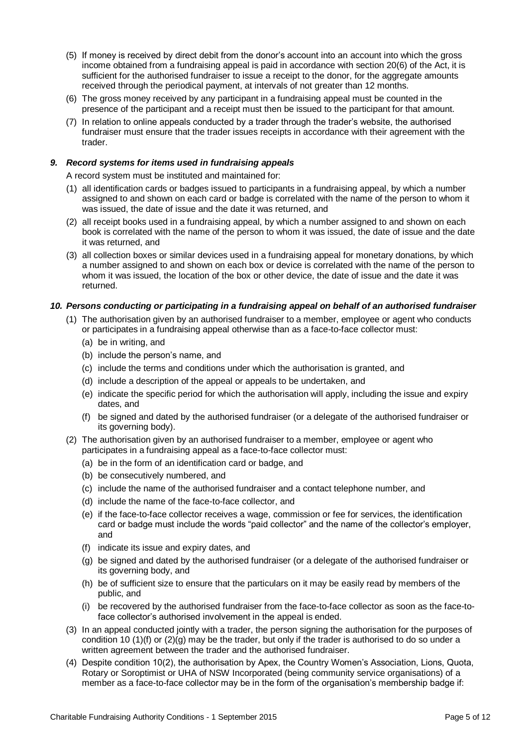- (5) If money is received by direct debit from the donor's account into an account into which the gross income obtained from a fundraising appeal is paid in accordance with section 20(6) of the Act, it is sufficient for the authorised fundraiser to issue a receipt to the donor, for the aggregate amounts received through the periodical payment, at intervals of not greater than 12 months.
- (6) The gross money received by any participant in a fundraising appeal must be counted in the presence of the participant and a receipt must then be issued to the participant for that amount.
- (7) In relation to online appeals conducted by a trader through the trader's website, the authorised fundraiser must ensure that the trader issues receipts in accordance with their agreement with the trader.

## *9. Record systems for items used in fundraising appeals*

A record system must be instituted and maintained for:

- (1) all identification cards or badges issued to participants in a fundraising appeal, by which a number assigned to and shown on each card or badge is correlated with the name of the person to whom it was issued, the date of issue and the date it was returned, and
- (2) all receipt books used in a fundraising appeal, by which a number assigned to and shown on each book is correlated with the name of the person to whom it was issued, the date of issue and the date it was returned, and
- (3) all collection boxes or similar devices used in a fundraising appeal for monetary donations, by which a number assigned to and shown on each box or device is correlated with the name of the person to whom it was issued, the location of the box or other device, the date of issue and the date it was returned.

## *10. Persons conducting or participating in a fundraising appeal on behalf of an authorised fundraiser*

- (1) The authorisation given by an authorised fundraiser to a member, employee or agent who conducts or participates in a fundraising appeal otherwise than as a face-to-face collector must:
	- (a) be in writing, and
	- (b) include the person's name, and
	- (c) include the terms and conditions under which the authorisation is granted, and
	- (d) include a description of the appeal or appeals to be undertaken, and
	- (e) indicate the specific period for which the authorisation will apply, including the issue and expiry dates, and
	- (f) be signed and dated by the authorised fundraiser (or a delegate of the authorised fundraiser or its governing body).
- (2) The authorisation given by an authorised fundraiser to a member, employee or agent who participates in a fundraising appeal as a face-to-face collector must:
	- (a) be in the form of an identification card or badge, and
	- (b) be consecutively numbered, and
	- (c) include the name of the authorised fundraiser and a contact telephone number, and
	- (d) include the name of the face-to-face collector, and
	- (e) if the face-to-face collector receives a wage, commission or fee for services, the identification card or badge must include the words "paid collector" and the name of the collector's employer, and
	- (f) indicate its issue and expiry dates, and
	- (g) be signed and dated by the authorised fundraiser (or a delegate of the authorised fundraiser or its governing body, and
	- (h) be of sufficient size to ensure that the particulars on it may be easily read by members of the public, and
	- (i) be recovered by the authorised fundraiser from the face-to-face collector as soon as the face-toface collector's authorised involvement in the appeal is ended.
- (3) In an appeal conducted jointly with a trader, the person signing the authorisation for the purposes of condition 10 (1)(f) or  $(2)(q)$  may be the trader, but only if the trader is authorised to do so under a written agreement between the trader and the authorised fundraiser.
- (4) Despite condition 10(2), the authorisation by Apex, the Country Women's Association, Lions, Quota, Rotary or Soroptimist or UHA of NSW Incorporated (being community service organisations) of a member as a face-to-face collector may be in the form of the organisation's membership badge if: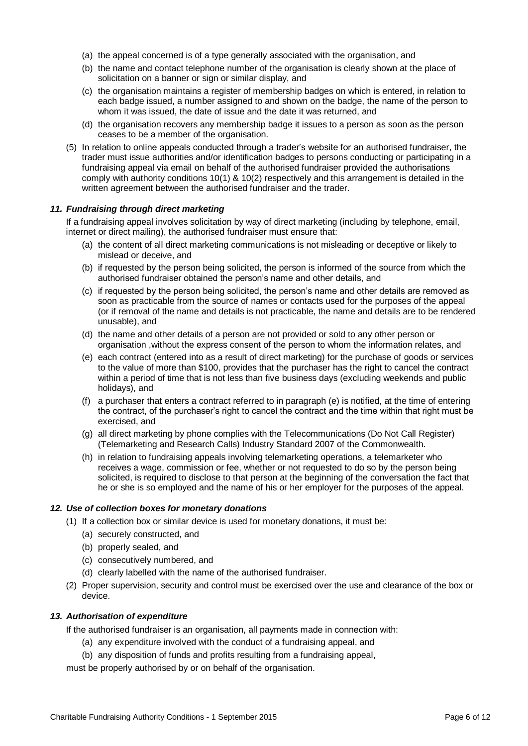- (a) the appeal concerned is of a type generally associated with the organisation, and
- (b) the name and contact telephone number of the organisation is clearly shown at the place of solicitation on a banner or sign or similar display, and
- (c) the organisation maintains a register of membership badges on which is entered, in relation to each badge issued, a number assigned to and shown on the badge, the name of the person to whom it was issued, the date of issue and the date it was returned, and
- (d) the organisation recovers any membership badge it issues to a person as soon as the person ceases to be a member of the organisation.
- (5) In relation to online appeals conducted through a trader's website for an authorised fundraiser, the trader must issue authorities and/or identification badges to persons conducting or participating in a fundraising appeal via email on behalf of the authorised fundraiser provided the authorisations comply with authority conditions 10(1) & 10(2) respectively and this arrangement is detailed in the written agreement between the authorised fundraiser and the trader.

#### *11. Fundraising through direct marketing*

If a fundraising appeal involves solicitation by way of direct marketing (including by telephone, email, internet or direct mailing), the authorised fundraiser must ensure that:

- (a) the content of all direct marketing communications is not misleading or deceptive or likely to mislead or deceive, and
- (b) if requested by the person being solicited, the person is informed of the source from which the authorised fundraiser obtained the person's name and other details, and
- (c) if requested by the person being solicited, the person's name and other details are removed as soon as practicable from the source of names or contacts used for the purposes of the appeal (or if removal of the name and details is not practicable, the name and details are to be rendered unusable), and
- (d) the name and other details of a person are not provided or sold to any other person or organisation ,without the express consent of the person to whom the information relates, and
- (e) each contract (entered into as a result of direct marketing) for the purchase of goods or services to the value of more than \$100, provides that the purchaser has the right to cancel the contract within a period of time that is not less than five business days (excluding weekends and public holidays), and
- (f) a purchaser that enters a contract referred to in paragraph (e) is notified, at the time of entering the contract, of the purchaser's right to cancel the contract and the time within that right must be exercised, and
- (g) all direct marketing by phone complies with the Telecommunications (Do Not Call Register) (Telemarketing and Research Calls) Industry Standard 2007 of the Commonwealth.
- (h) in relation to fundraising appeals involving telemarketing operations, a telemarketer who receives a wage, commission or fee, whether or not requested to do so by the person being solicited, is required to disclose to that person at the beginning of the conversation the fact that he or she is so employed and the name of his or her employer for the purposes of the appeal.

#### *12. Use of collection boxes for monetary donations*

- (1) If a collection box or similar device is used for monetary donations, it must be:
	- (a) securely constructed, and
	- (b) properly sealed, and
	- (c) consecutively numbered, and
	- (d) clearly labelled with the name of the authorised fundraiser.
- (2) Proper supervision, security and control must be exercised over the use and clearance of the box or device.

#### *13. Authorisation of expenditure*

If the authorised fundraiser is an organisation, all payments made in connection with:

- (a) any expenditure involved with the conduct of a fundraising appeal, and
- (b) any disposition of funds and profits resulting from a fundraising appeal,

must be properly authorised by or on behalf of the organisation.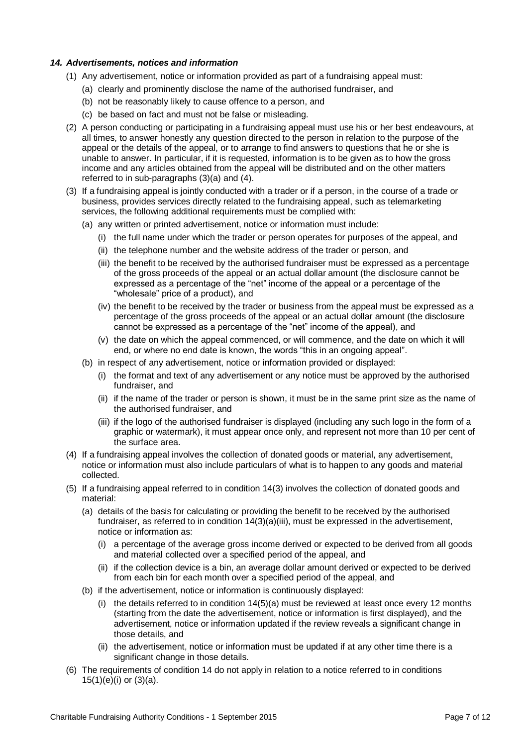## *14. Advertisements, notices and information*

- (1) Any advertisement, notice or information provided as part of a fundraising appeal must:
	- (a) clearly and prominently disclose the name of the authorised fundraiser, and
	- (b) not be reasonably likely to cause offence to a person, and
	- (c) be based on fact and must not be false or misleading.
- (2) A person conducting or participating in a fundraising appeal must use his or her best endeavours, at all times, to answer honestly any question directed to the person in relation to the purpose of the appeal or the details of the appeal, or to arrange to find answers to questions that he or she is unable to answer. In particular, if it is requested, information is to be given as to how the gross income and any articles obtained from the appeal will be distributed and on the other matters referred to in sub-paragraphs (3)(a) and (4).
- (3) If a fundraising appeal is jointly conducted with a trader or if a person, in the course of a trade or business, provides services directly related to the fundraising appeal, such as telemarketing services, the following additional requirements must be complied with:
	- (a) any written or printed advertisement, notice or information must include:
		- (i) the full name under which the trader or person operates for purposes of the appeal, and
		- (ii) the telephone number and the website address of the trader or person, and
		- (iii) the benefit to be received by the authorised fundraiser must be expressed as a percentage of the gross proceeds of the appeal or an actual dollar amount (the disclosure cannot be expressed as a percentage of the "net" income of the appeal or a percentage of the "wholesale" price of a product), and
		- (iv) the benefit to be received by the trader or business from the appeal must be expressed as a percentage of the gross proceeds of the appeal or an actual dollar amount (the disclosure cannot be expressed as a percentage of the "net" income of the appeal), and
		- (v) the date on which the appeal commenced, or will commence, and the date on which it will end, or where no end date is known, the words "this in an ongoing appeal".
	- (b) in respect of any advertisement, notice or information provided or displayed:
		- (i) the format and text of any advertisement or any notice must be approved by the authorised fundraiser, and
		- (ii) if the name of the trader or person is shown, it must be in the same print size as the name of the authorised fundraiser, and
		- (iii) if the logo of the authorised fundraiser is displayed (including any such logo in the form of a graphic or watermark), it must appear once only, and represent not more than 10 per cent of the surface area.
- (4) If a fundraising appeal involves the collection of donated goods or material, any advertisement, notice or information must also include particulars of what is to happen to any goods and material collected.
- (5) If a fundraising appeal referred to in condition 14(3) involves the collection of donated goods and material:
	- (a) details of the basis for calculating or providing the benefit to be received by the authorised fundraiser, as referred to in condition  $14(3)(a)(iii)$ , must be expressed in the advertisement, notice or information as:
		- (i) a percentage of the average gross income derived or expected to be derived from all goods and material collected over a specified period of the appeal, and
		- (ii) if the collection device is a bin, an average dollar amount derived or expected to be derived from each bin for each month over a specified period of the appeal, and
	- (b) if the advertisement, notice or information is continuously displayed:
		- (i) the details referred to in condition  $14(5)(a)$  must be reviewed at least once every 12 months (starting from the date the advertisement, notice or information is first displayed), and the advertisement, notice or information updated if the review reveals a significant change in those details, and
		- (ii) the advertisement, notice or information must be updated if at any other time there is a significant change in those details.
- (6) The requirements of condition 14 do not apply in relation to a notice referred to in conditions 15(1)(e)(i) or (3)(a).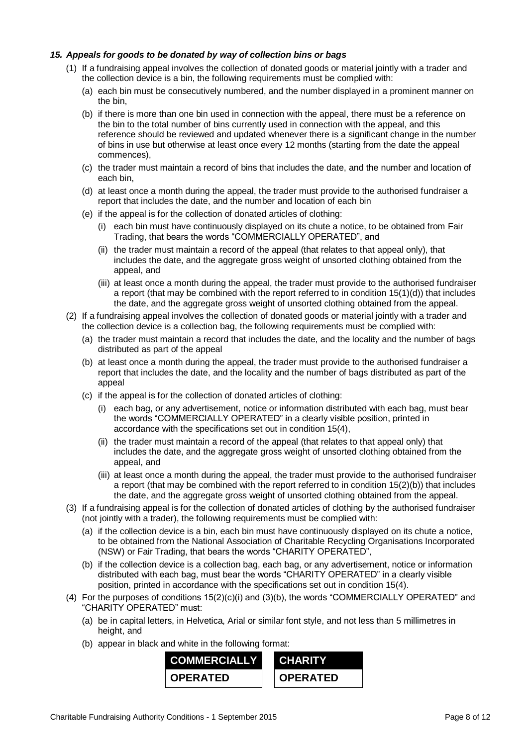## *15. Appeals for goods to be donated by way of collection bins or bags*

- (1) If a fundraising appeal involves the collection of donated goods or material jointly with a trader and the collection device is a bin, the following requirements must be complied with:
	- (a) each bin must be consecutively numbered, and the number displayed in a prominent manner on the bin,
	- (b) if there is more than one bin used in connection with the appeal, there must be a reference on the bin to the total number of bins currently used in connection with the appeal, and this reference should be reviewed and updated whenever there is a significant change in the number of bins in use but otherwise at least once every 12 months (starting from the date the appeal commences),
	- (c) the trader must maintain a record of bins that includes the date, and the number and location of each bin,
	- (d) at least once a month during the appeal, the trader must provide to the authorised fundraiser a report that includes the date, and the number and location of each bin
	- (e) if the appeal is for the collection of donated articles of clothing:
		- (i) each bin must have continuously displayed on its chute a notice, to be obtained from Fair Trading, that bears the words "COMMERCIALLY OPERATED", and
		- (ii) the trader must maintain a record of the appeal (that relates to that appeal only), that includes the date, and the aggregate gross weight of unsorted clothing obtained from the appeal, and
		- (iii) at least once a month during the appeal, the trader must provide to the authorised fundraiser a report (that may be combined with the report referred to in condition 15(1)(d)) that includes the date, and the aggregate gross weight of unsorted clothing obtained from the appeal.
- (2) If a fundraising appeal involves the collection of donated goods or material jointly with a trader and the collection device is a collection bag, the following requirements must be complied with:
	- (a) the trader must maintain a record that includes the date, and the locality and the number of bags distributed as part of the appeal
	- (b) at least once a month during the appeal, the trader must provide to the authorised fundraiser a report that includes the date, and the locality and the number of bags distributed as part of the appeal
	- (c) if the appeal is for the collection of donated articles of clothing:
		- (i) each bag, or any advertisement, notice or information distributed with each bag, must bear the words "COMMERCIALLY OPERATED" in a clearly visible position, printed in accordance with the specifications set out in condition 15(4),
		- (ii) the trader must maintain a record of the appeal (that relates to that appeal only) that includes the date, and the aggregate gross weight of unsorted clothing obtained from the appeal, and
		- (iii) at least once a month during the appeal, the trader must provide to the authorised fundraiser a report (that may be combined with the report referred to in condition 15(2)(b)) that includes the date, and the aggregate gross weight of unsorted clothing obtained from the appeal.
- (3) If a fundraising appeal is for the collection of donated articles of clothing by the authorised fundraiser (not jointly with a trader), the following requirements must be complied with:
	- (a) if the collection device is a bin, each bin must have continuously displayed on its chute a notice, to be obtained from the National Association of Charitable Recycling Organisations Incorporated (NSW) or Fair Trading, that bears the words "CHARITY OPERATED",
	- (b) if the collection device is a collection bag, each bag, or any advertisement, notice or information distributed with each bag, must bear the words "CHARITY OPERATED" in a clearly visible position, printed in accordance with the specifications set out in condition 15(4).
- (4) For the purposes of conditions 15(2)(c)(i) and (3)(b), the words "COMMERCIALLY OPERATED" and "CHARITY OPERATED" must:
	- (a) be in capital letters, in Helvetica, Arial or similar font style, and not less than 5 millimetres in height, and
	- (b) appear in black and white in the following format:

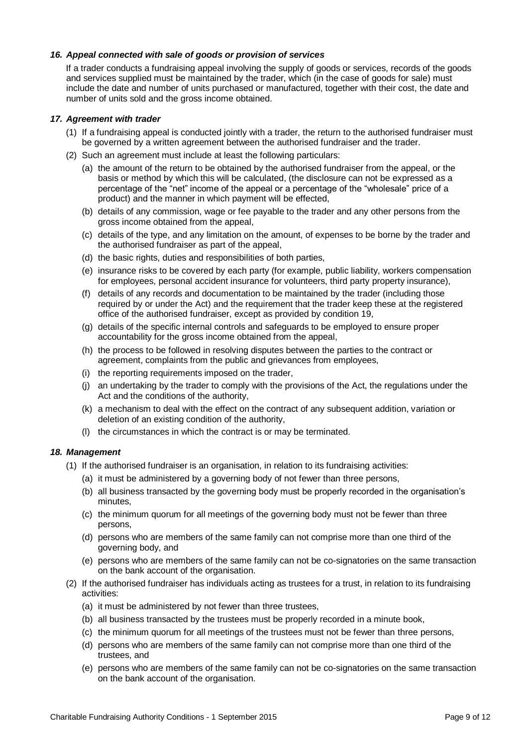## *16. Appeal connected with sale of goods or provision of services*

If a trader conducts a fundraising appeal involving the supply of goods or services, records of the goods and services supplied must be maintained by the trader, which (in the case of goods for sale) must include the date and number of units purchased or manufactured, together with their cost, the date and number of units sold and the gross income obtained.

#### *17. Agreement with trader*

- (1) If a fundraising appeal is conducted jointly with a trader, the return to the authorised fundraiser must be governed by a written agreement between the authorised fundraiser and the trader.
- (2) Such an agreement must include at least the following particulars:
	- (a) the amount of the return to be obtained by the authorised fundraiser from the appeal, or the basis or method by which this will be calculated, (the disclosure can not be expressed as a percentage of the "net" income of the appeal or a percentage of the "wholesale" price of a product) and the manner in which payment will be effected,
	- (b) details of any commission, wage or fee payable to the trader and any other persons from the gross income obtained from the appeal,
	- (c) details of the type, and any limitation on the amount, of expenses to be borne by the trader and the authorised fundraiser as part of the appeal,
	- (d) the basic rights, duties and responsibilities of both parties,
	- (e) insurance risks to be covered by each party (for example, public liability, workers compensation for employees, personal accident insurance for volunteers, third party property insurance),
	- (f) details of any records and documentation to be maintained by the trader (including those required by or under the Act) and the requirement that the trader keep these at the registered office of the authorised fundraiser, except as provided by condition 19,
	- (g) details of the specific internal controls and safeguards to be employed to ensure proper accountability for the gross income obtained from the appeal,
	- (h) the process to be followed in resolving disputes between the parties to the contract or agreement, complaints from the public and grievances from employees,
	- (i) the reporting requirements imposed on the trader,
	- (j) an undertaking by the trader to comply with the provisions of the Act, the regulations under the Act and the conditions of the authority,
	- (k) a mechanism to deal with the effect on the contract of any subsequent addition, variation or deletion of an existing condition of the authority,
	- (l) the circumstances in which the contract is or may be terminated.

## *18. Management*

- (1) If the authorised fundraiser is an organisation, in relation to its fundraising activities:
	- (a) it must be administered by a governing body of not fewer than three persons,
	- (b) all business transacted by the governing body must be properly recorded in the organisation's minutes,
	- (c) the minimum quorum for all meetings of the governing body must not be fewer than three persons,
	- (d) persons who are members of the same family can not comprise more than one third of the governing body, and
	- (e) persons who are members of the same family can not be co-signatories on the same transaction on the bank account of the organisation.
- (2) If the authorised fundraiser has individuals acting as trustees for a trust, in relation to its fundraising activities:
	- (a) it must be administered by not fewer than three trustees,
	- (b) all business transacted by the trustees must be properly recorded in a minute book,
	- (c) the minimum quorum for all meetings of the trustees must not be fewer than three persons,
	- (d) persons who are members of the same family can not comprise more than one third of the trustees, and
	- (e) persons who are members of the same family can not be co-signatories on the same transaction on the bank account of the organisation.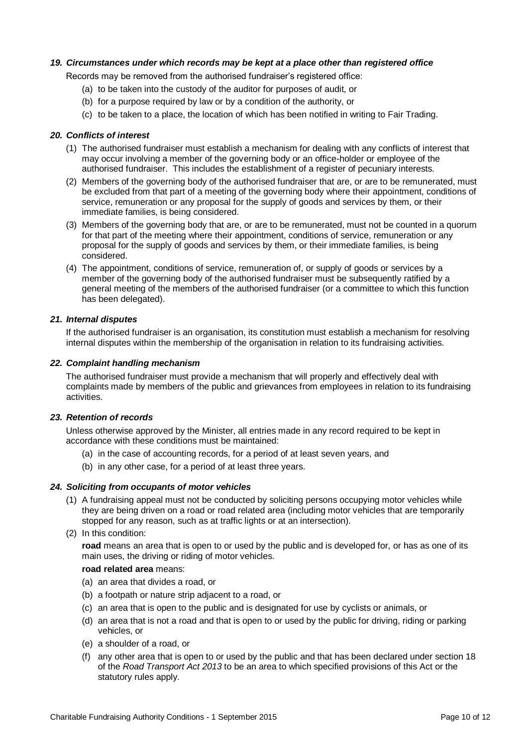## *19. Circumstances under which records may be kept at a place other than registered office*

Records may be removed from the authorised fundraiser's registered office:

- (a) to be taken into the custody of the auditor for purposes of audit, or
- (b) for a purpose required by law or by a condition of the authority, or
- (c) to be taken to a place, the location of which has been notified in writing to Fair Trading.

#### *20. Conflicts of interest*

- (1) The authorised fundraiser must establish a mechanism for dealing with any conflicts of interest that may occur involving a member of the governing body or an office-holder or employee of the authorised fundraiser. This includes the establishment of a register of pecuniary interests.
- (2) Members of the governing body of the authorised fundraiser that are, or are to be remunerated, must be excluded from that part of a meeting of the governing body where their appointment, conditions of service, remuneration or any proposal for the supply of goods and services by them, or their immediate families, is being considered.
- (3) Members of the governing body that are, or are to be remunerated, must not be counted in a quorum for that part of the meeting where their appointment, conditions of service, remuneration or any proposal for the supply of goods and services by them, or their immediate families, is being considered.
- (4) The appointment, conditions of service, remuneration of, or supply of goods or services by a member of the governing body of the authorised fundraiser must be subsequently ratified by a general meeting of the members of the authorised fundraiser (or a committee to which this function has been delegated).

#### *21. Internal disputes*

If the authorised fundraiser is an organisation, its constitution must establish a mechanism for resolving internal disputes within the membership of the organisation in relation to its fundraising activities.

#### *22. Complaint handling mechanism*

The authorised fundraiser must provide a mechanism that will properly and effectively deal with complaints made by members of the public and grievances from employees in relation to its fundraising activities.

#### *23. Retention of records*

Unless otherwise approved by the Minister, all entries made in any record required to be kept in accordance with these conditions must be maintained:

- (a) in the case of accounting records, for a period of at least seven years, and
- (b) in any other case, for a period of at least three years.

#### *24. Soliciting from occupants of motor vehicles*

- (1) A fundraising appeal must not be conducted by soliciting persons occupying motor vehicles while they are being driven on a road or road related area (including motor vehicles that are temporarily stopped for any reason, such as at traffic lights or at an intersection).
- (2) In this condition:

**road** means an area that is open to or used by the public and is developed for, or has as one of its main uses, the driving or riding of motor vehicles.

#### **road related area** means:

- (a) an area that divides a road, or
- (b) a footpath or nature strip adjacent to a road, or
- (c) an area that is open to the public and is designated for use by cyclists or animals, or
- (d) an area that is not a road and that is open to or used by the public for driving, riding or parking vehicles, or
- (e) a shoulder of a road, or
- (f) any other area that is open to or used by the public and that has been declared under section 18 of the *Road Transport Act 2013* to be an area to which specified provisions of this Act or the statutory rules apply.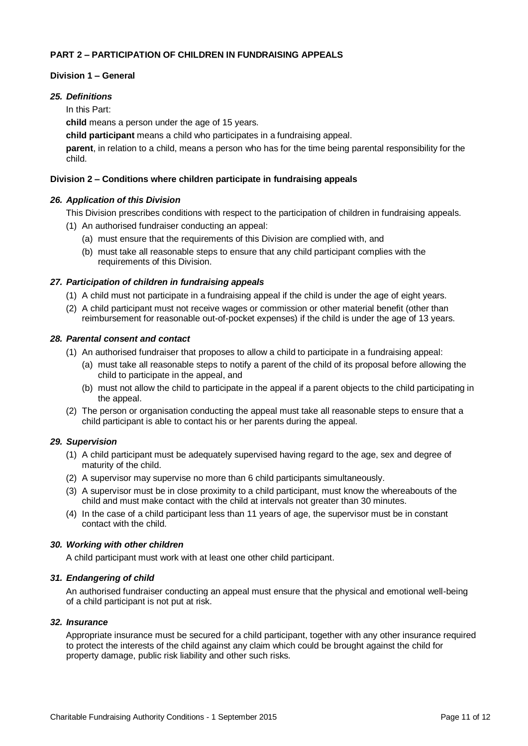## **PART 2 – PARTICIPATION OF CHILDREN IN FUNDRAISING APPEALS**

## **Division 1 – General**

## *25. Definitions*

In this Part:

**child** means a person under the age of 15 years.

**child participant** means a child who participates in a fundraising appeal.

**parent**, in relation to a child, means a person who has for the time being parental responsibility for the child.

## **Division 2 – Conditions where children participate in fundraising appeals**

## *26. Application of this Division*

This Division prescribes conditions with respect to the participation of children in fundraising appeals.

- (1) An authorised fundraiser conducting an appeal:
	- (a) must ensure that the requirements of this Division are complied with, and
	- (b) must take all reasonable steps to ensure that any child participant complies with the requirements of this Division.

#### *27. Participation of children in fundraising appeals*

- (1) A child must not participate in a fundraising appeal if the child is under the age of eight years.
- (2) A child participant must not receive wages or commission or other material benefit (other than reimbursement for reasonable out-of-pocket expenses) if the child is under the age of 13 years.

#### *28. Parental consent and contact*

- (1) An authorised fundraiser that proposes to allow a child to participate in a fundraising appeal:
	- (a) must take all reasonable steps to notify a parent of the child of its proposal before allowing the child to participate in the appeal, and
	- (b) must not allow the child to participate in the appeal if a parent objects to the child participating in the appeal.
- (2) The person or organisation conducting the appeal must take all reasonable steps to ensure that a child participant is able to contact his or her parents during the appeal.

## *29. Supervision*

- (1) A child participant must be adequately supervised having regard to the age, sex and degree of maturity of the child.
- (2) A supervisor may supervise no more than 6 child participants simultaneously.
- (3) A supervisor must be in close proximity to a child participant, must know the whereabouts of the child and must make contact with the child at intervals not greater than 30 minutes.
- (4) In the case of a child participant less than 11 years of age, the supervisor must be in constant contact with the child.

#### *30. Working with other children*

A child participant must work with at least one other child participant.

## *31. Endangering of child*

An authorised fundraiser conducting an appeal must ensure that the physical and emotional well-being of a child participant is not put at risk.

#### *32. Insurance*

Appropriate insurance must be secured for a child participant, together with any other insurance required to protect the interests of the child against any claim which could be brought against the child for property damage, public risk liability and other such risks.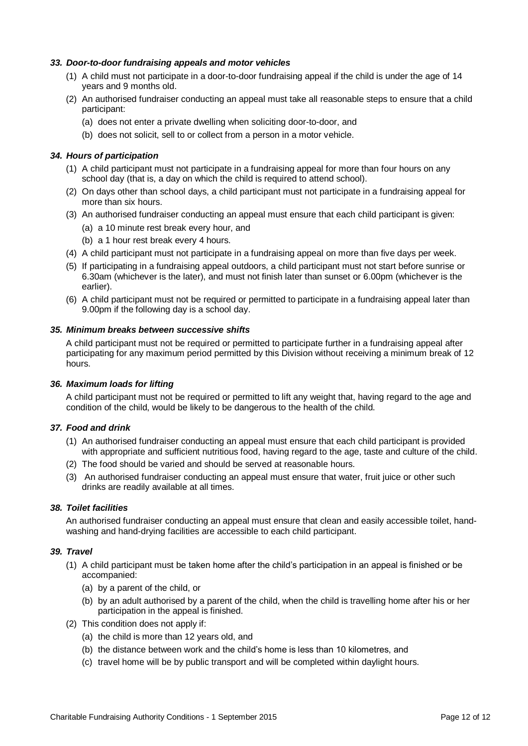## *33. Door-to-door fundraising appeals and motor vehicles*

- (1) A child must not participate in a door-to-door fundraising appeal if the child is under the age of 14 years and 9 months old.
- (2) An authorised fundraiser conducting an appeal must take all reasonable steps to ensure that a child participant:
	- (a) does not enter a private dwelling when soliciting door-to-door, and
	- (b) does not solicit, sell to or collect from a person in a motor vehicle.

## *34. Hours of participation*

- (1) A child participant must not participate in a fundraising appeal for more than four hours on any school day (that is, a day on which the child is required to attend school).
- (2) On days other than school days, a child participant must not participate in a fundraising appeal for more than six hours.
- (3) An authorised fundraiser conducting an appeal must ensure that each child participant is given:
	- (a) a 10 minute rest break every hour, and
	- (b) a 1 hour rest break every 4 hours.
- (4) A child participant must not participate in a fundraising appeal on more than five days per week.
- (5) If participating in a fundraising appeal outdoors, a child participant must not start before sunrise or 6.30am (whichever is the later), and must not finish later than sunset or 6.00pm (whichever is the earlier).
- (6) A child participant must not be required or permitted to participate in a fundraising appeal later than 9.00pm if the following day is a school day.

#### *35. Minimum breaks between successive shifts*

A child participant must not be required or permitted to participate further in a fundraising appeal after participating for any maximum period permitted by this Division without receiving a minimum break of 12 hours.

#### *36. Maximum loads for lifting*

A child participant must not be required or permitted to lift any weight that, having regard to the age and condition of the child, would be likely to be dangerous to the health of the child.

#### *37. Food and drink*

- (1) An authorised fundraiser conducting an appeal must ensure that each child participant is provided with appropriate and sufficient nutritious food, having regard to the age, taste and culture of the child.
- (2) The food should be varied and should be served at reasonable hours.
- (3) An authorised fundraiser conducting an appeal must ensure that water, fruit juice or other such drinks are readily available at all times.

#### *38. Toilet facilities*

An authorised fundraiser conducting an appeal must ensure that clean and easily accessible toilet, handwashing and hand-drying facilities are accessible to each child participant.

#### *39. Travel*

- (1) A child participant must be taken home after the child's participation in an appeal is finished or be accompanied:
	- (a) by a parent of the child, or
	- (b) by an adult authorised by a parent of the child, when the child is travelling home after his or her participation in the appeal is finished.
- (2) This condition does not apply if:
	- (a) the child is more than 12 years old, and
	- (b) the distance between work and the child's home is less than 10 kilometres, and
	- (c) travel home will be by public transport and will be completed within daylight hours.